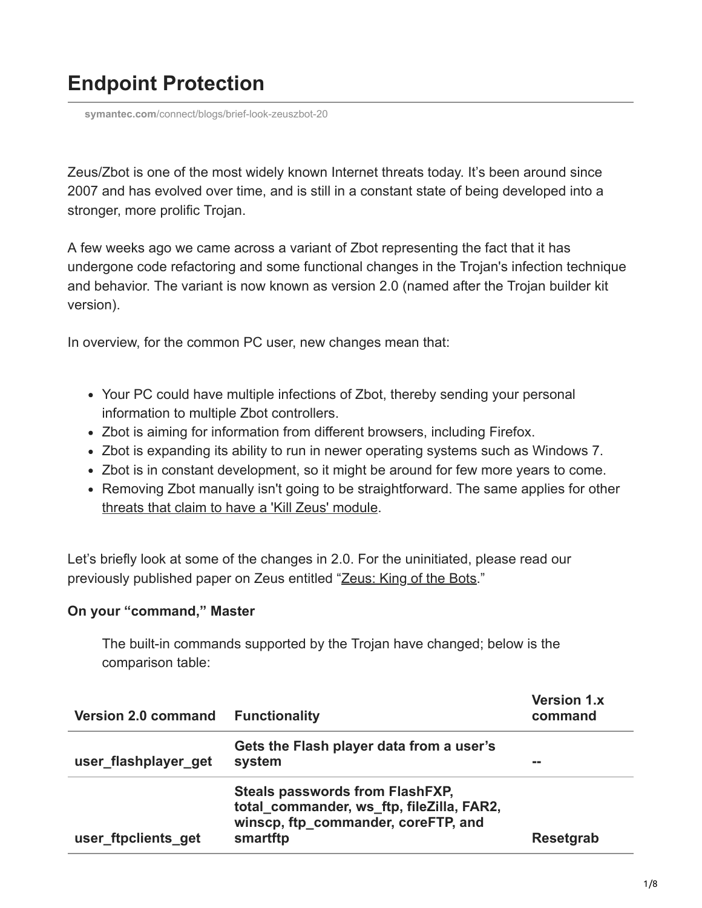# **Endpoint Protection**

**symantec.com**[/connect/blogs/brief-look-zeuszbot-20](https://www.symantec.com/connect/blogs/brief-look-zeuszbot-20)

Zeus/Zbot is one of the most widely known Internet threats today. It's been around since 2007 and has evolved over time, and is still in a constant state of being developed into a stronger, more prolific Trojan.

A few weeks ago we came across a variant of Zbot representing the fact that it has undergone code refactoring and some functional changes in the Trojan's infection technique and behavior. The variant is now known as version 2.0 (named after the Trojan builder kit version).

In overview, for the common PC user, new changes mean that:

- Your PC could have multiple infections of Zbot, thereby sending your personal information to multiple Zbot controllers.
- Zbot is aiming for information from different browsers, including Firefox.
- Zbot is expanding its ability to run in newer operating systems such as Windows 7.
- Zbot is in constant development, so it might be around for few more years to come.
- Removing Zbot manually isn't going to be straightforward. The same applies for other [threats that claim to have a 'Kill Zeus' module.](https://community.broadcom.com/symantecenterprise/viewdocument?DocumentKey=69591f0a-c8d6-4c76-83bf-7a137a89082d&CommunityKey=1ecf5f55-9545-44d6-b0f4-4e4a7f5f5e68&tab=librarydocuments)

Let's briefly look at some of the changes in 2.0. For the uninitiated, please read our previously published paper on Zeus entitled "[Zeus: King of the Bots.](http://www.symantec.com/content/en/us/enterprise/media/security_response/whitepapers/zeus_king_of_bots.pdf)"

## **On your "command," Master**

The built-in commands supported by the Trojan have changed; below is the comparison table:

| <b>Version 2.0 command Functionality</b> |                                                                                                                                        | <b>Version 1.x</b><br>command |
|------------------------------------------|----------------------------------------------------------------------------------------------------------------------------------------|-------------------------------|
| user_flashplayer_get                     | Gets the Flash player data from a user's<br>system                                                                                     |                               |
| user_ftpclients_get                      | <b>Steals passwords from FlashFXP,</b><br>total_commander, ws_ftp, fileZilla, FAR2,<br>winscp, ftp commander, coreFTP, and<br>smartftp | <b>Resetgrab</b>              |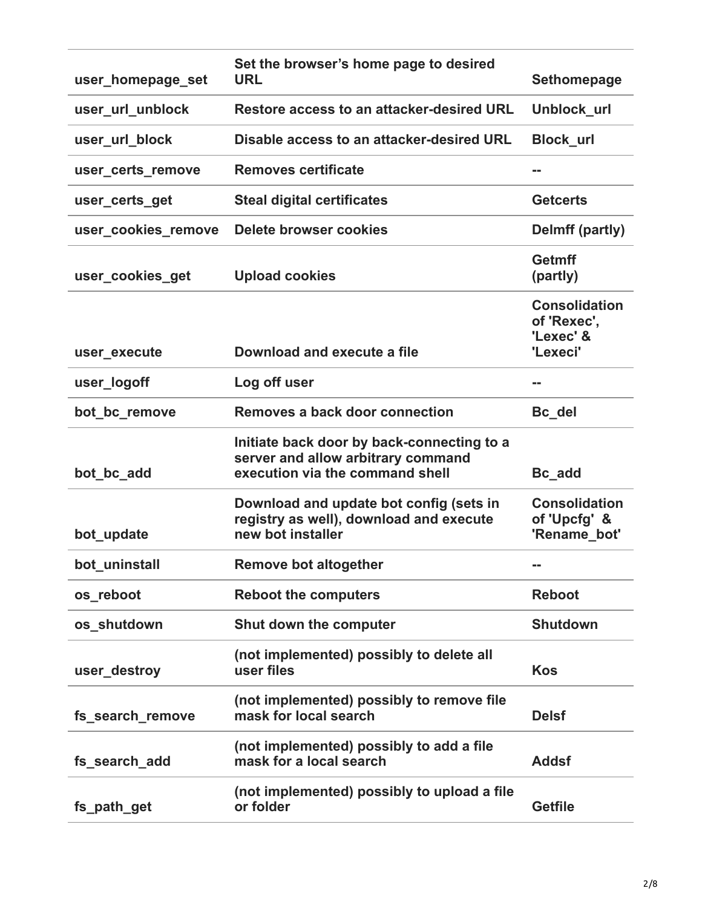| user_homepage_set   | Set the browser's home page to desired<br>URL                                                                       | <b>Sethomepage</b>                                   |
|---------------------|---------------------------------------------------------------------------------------------------------------------|------------------------------------------------------|
| user_url_unblock    | Restore access to an attacker-desired URL                                                                           | Unblock_url                                          |
| user_url_block      | Disable access to an attacker-desired URL                                                                           | <b>Block_url</b>                                     |
| user_certs_remove   | <b>Removes certificate</b>                                                                                          |                                                      |
| user_certs_get      | <b>Steal digital certificates</b>                                                                                   | <b>Getcerts</b>                                      |
| user_cookies_remove | <b>Delete browser cookies</b>                                                                                       | Delmff (partly)                                      |
| user_cookies_get    | <b>Upload cookies</b>                                                                                               | <b>Getmff</b><br>(partly)                            |
|                     |                                                                                                                     | <b>Consolidation</b><br>of 'Rexec',<br>'Lexec' &     |
| user_execute        | Download and execute a file                                                                                         | 'Lexeci'                                             |
| user_logoff         | Log off user                                                                                                        | m m                                                  |
| bot_bc_remove       | Removes a back door connection                                                                                      | Bc_del                                               |
| bot_bc_add          | Initiate back door by back-connecting to a<br>server and allow arbitrary command<br>execution via the command shell | Bc_add                                               |
| bot_update          | Download and update bot config (sets in<br>registry as well), download and execute<br>new bot installer             | <b>Consolidation</b><br>of 'Upcfg' &<br>'Rename_bot' |
| bot_uninstall       | <b>Remove bot altogether</b>                                                                                        |                                                      |
| os_reboot           | <b>Reboot the computers</b>                                                                                         | <b>Reboot</b>                                        |
| os shutdown         | Shut down the computer                                                                                              | <b>Shutdown</b>                                      |
| user destroy        | (not implemented) possibly to delete all<br>user files                                                              | <b>Kos</b>                                           |
| fs_search_remove    | (not implemented) possibly to remove file<br>mask for local search                                                  | <b>Delsf</b>                                         |
| fs_search_add       | (not implemented) possibly to add a file<br>mask for a local search                                                 | <b>Addsf</b>                                         |
| fs_path_get         | (not implemented) possibly to upload a file<br>or folder                                                            | <b>Getfile</b>                                       |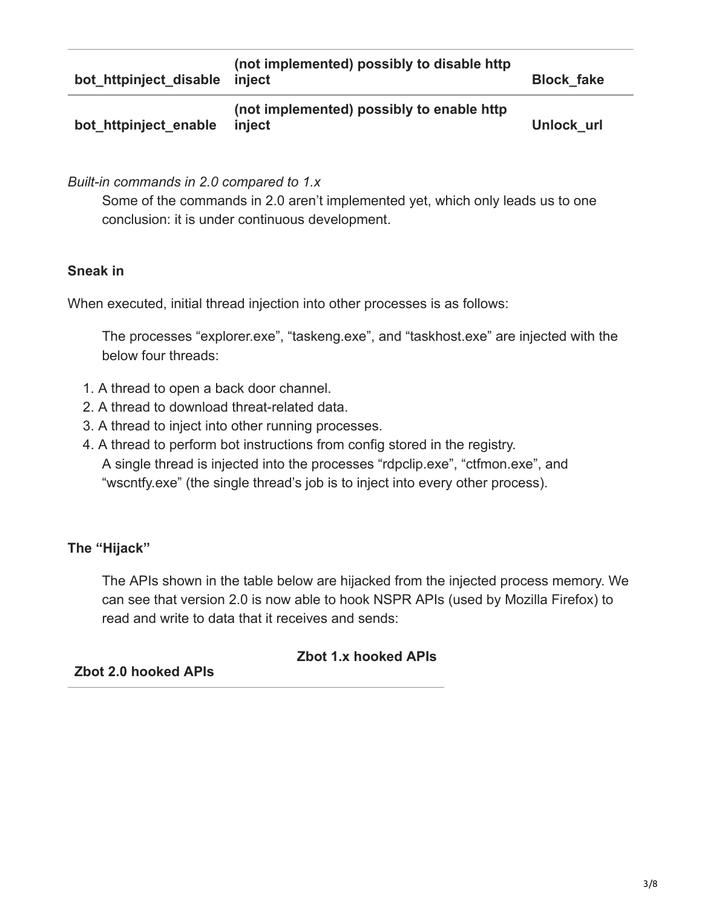| bot httpinject disable inject | (not implemented) possibly to disable http          | <b>Block fake</b> |
|-------------------------------|-----------------------------------------------------|-------------------|
| bot httpinject enable         | (not implemented) possibly to enable http<br>iniect | Unlock url        |

*Built-in commands in 2.0 compared to 1.x*

Some of the commands in 2.0 aren't implemented yet, which only leads us to one conclusion: it is under continuous development.

## **Sneak in**

When executed, initial thread injection into other processes is as follows:

The processes "explorer.exe", "taskeng.exe", and "taskhost.exe" are injected with the below four threads:

- 1. A thread to open a back door channel.
- 2. A thread to download threat-related data.
- 3. A thread to inject into other running processes.
- 4. A thread to perform bot instructions from config stored in the registry. A single thread is injected into the processes "rdpclip.exe", "ctfmon.exe", and "wscntfy.exe" (the single thread's job is to inject into every other process).

# **The "Hijack"**

The APIs shown in the table below are hijacked from the injected process memory. We can see that version 2.0 is now able to hook NSPR APIs (used by Mozilla Firefox) to read and write to data that it receives and sends:

# **Zbot 1.x hooked APIs**

**Zbot 2.0 hooked APIs**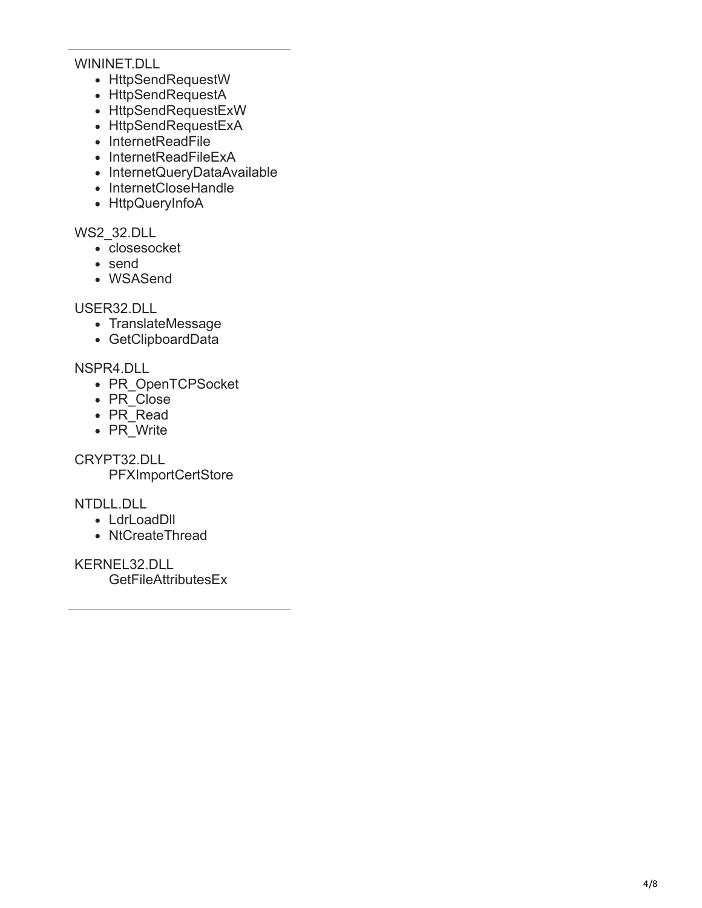#### WININET.DLL

- HttpSendRequestW
- HttpSendRequestA
- HttpSendRequestExW
- HttpSendRequestExA
- InternetReadFile
- InternetReadFileExA
- InternetQueryDataAvailable
- InternetCloseHandle
- HttpQueryInfoA

WS2\_32.DLL

- closesocket
- send
- WSASend

USER32.DLL

- TranslateMessage
- GetClipboardData

NSPR4.DLL

- PR\_OpenTCPSocket
- PR<sup>-</sup>Close
- PR\_Read
- PR\_Write

CRYPT32.DLL

**PFXImportCertStore** 

NTDLL.DLL

- LdrLoadDll
- NtCreateThread

KERNEL32.DLL

GetFileAttributesEx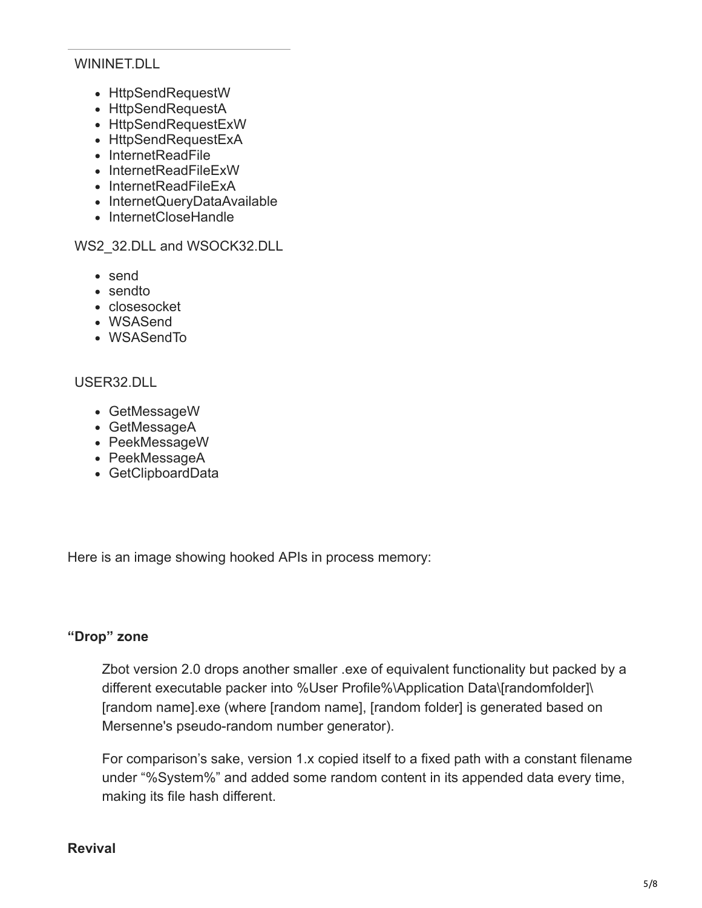#### WININET.DLL

- HttpSendRequestW
- HttpSendRequestA
- HttpSendRequestExW
- HttpSendRequestExA
- InternetReadFile
- InternetReadFileExW
- InternetReadFileExA
- InternetQueryDataAvailable
- InternetCloseHandle

#### WS2\_32.DLL and WSOCK32.DLL

- send
- sendto
- closesocket
- WSASend
- WSASendTo

## USER32.DLL

- GetMessageW
- GetMessageA
- PeekMessageW
- PeekMessageA
- GetClipboardData

Here is an image showing hooked APIs in process memory:

## **"Drop" zone**

Zbot version 2.0 drops another smaller .exe of equivalent functionality but packed by a different executable packer into %User Profile%\Application Data\[randomfolder]\ [random name].exe (where [random name], [random folder] is generated based on Mersenne's pseudo-random number generator).

For comparison's sake, version 1.x copied itself to a fixed path with a constant filename under "%System%" and added some random content in its appended data every time, making its file hash different.

#### **Revival**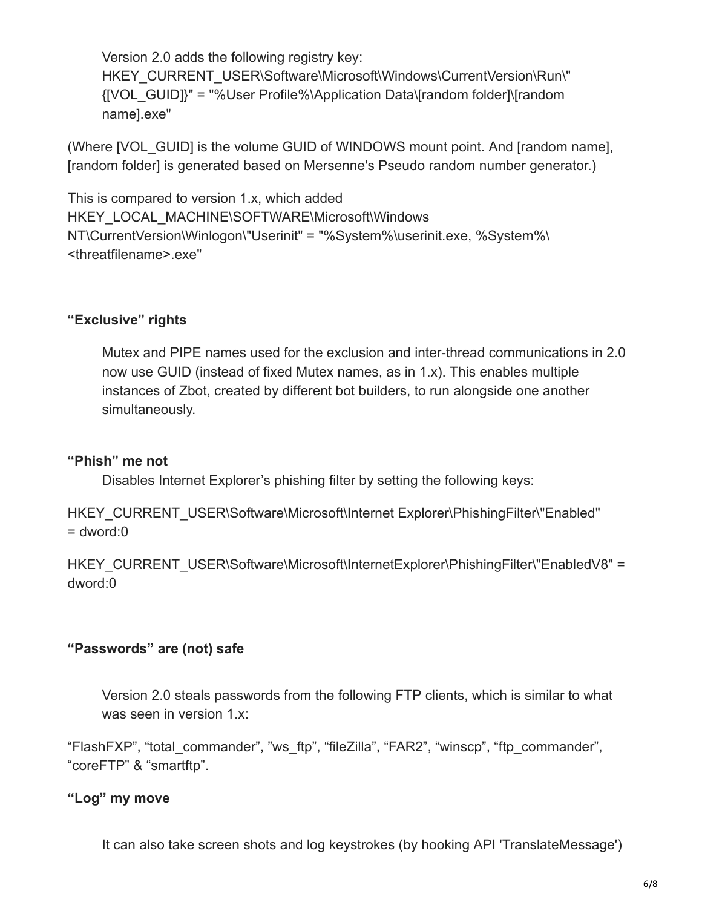Version 2.0 adds the following registry key: HKEY\_CURRENT\_USER\Software\Microsoft\Windows\CurrentVersion\Run\" {[VOL\_GUID]}" = "%User Profile%\Application Data\[random folder]\[random name].exe"

(Where [VOL\_GUID] is the volume GUID of WINDOWS mount point. And [random name], [random folder] is generated based on Mersenne's Pseudo random number generator.)

This is compared to version 1.x, which added HKEY\_LOCAL\_MACHINE\SOFTWARE\Microsoft\Windows NT\CurrentVersion\Winlogon\"Userinit" = "%System%\userinit.exe, %System%\ <threatfilename>.exe"

## **"Exclusive" rights**

Mutex and PIPE names used for the exclusion and inter-thread communications in 2.0 now use GUID (instead of fixed Mutex names, as in 1.x). This enables multiple instances of Zbot, created by different bot builders, to run alongside one another simultaneously.

## **"Phish" me not**

Disables Internet Explorer's phishing filter by setting the following keys:

HKEY\_CURRENT\_USER\Software\Microsoft\Internet Explorer\PhishingFilter\"Enabled"  $=$  dword: $0$ 

HKEY\_CURRENT\_USER\Software\Microsoft\InternetExplorer\PhishingFilter\"EnabledV8" = dword:0

## **"Passwords" are (not) safe**

Version 2.0 steals passwords from the following FTP clients, which is similar to what was seen in version 1.x:

"FlashFXP", "total\_commander", "ws\_ftp", "fileZilla", "FAR2", "winscp", "ftp\_commander", "coreFTP" & "smartftp".

# **"Log" my move**

It can also take screen shots and log keystrokes (by hooking API 'TranslateMessage')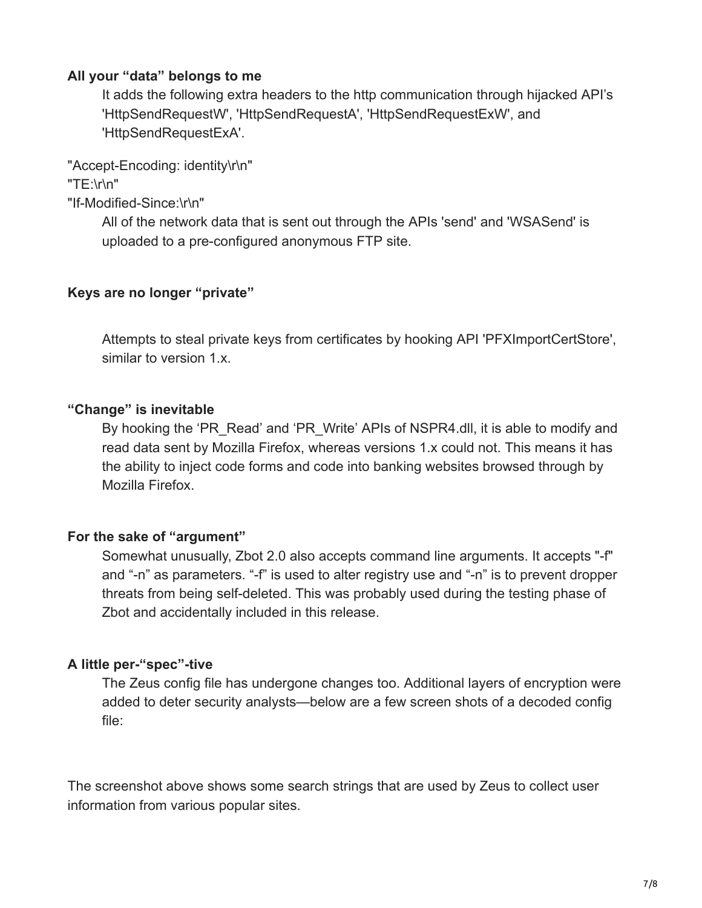### **All your "data" belongs to me**

It adds the following extra headers to the http communication through hijacked API's 'HttpSendRequestW', 'HttpSendRequestA', 'HttpSendRequestExW', and 'HttpSendRequestExA'.

"Accept-Encoding: identity\r\n"

"TE:\r\n"

"If-Modified-Since:\r\n"

All of the network data that is sent out through the APIs 'send' and 'WSASend' is uploaded to a pre-configured anonymous FTP site.

#### **Keys are no longer "private"**

Attempts to steal private keys from certificates by hooking API 'PFXImportCertStore', similar to version 1.x.

#### **"Change" is inevitable**

By hooking the 'PR\_Read' and 'PR\_Write' APIs of NSPR4.dll, it is able to modify and read data sent by Mozilla Firefox, whereas versions 1.x could not. This means it has the ability to inject code forms and code into banking websites browsed through by Mozilla Firefox.

## **For the sake of "argument"**

Somewhat unusually, Zbot 2.0 also accepts command line arguments. It accepts "-f" and "-n" as parameters. "-f" is used to alter registry use and "-n" is to prevent dropper threats from being self-deleted. This was probably used during the testing phase of Zbot and accidentally included in this release.

## **A little per-"spec"-tive**

The Zeus config file has undergone changes too. Additional layers of encryption were added to deter security analysts—below are a few screen shots of a decoded config file:

The screenshot above shows some search strings that are used by Zeus to collect user information from various popular sites.